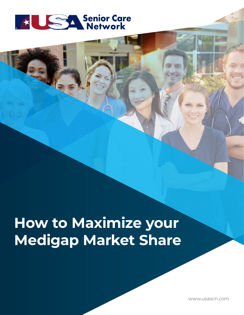

# **How to Maximize your Medigap Market Share**

www.usascn.com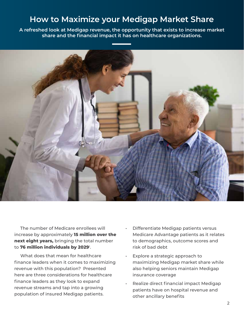# **How to Maximize your Medigap Market Share**

**A refreshed look at Medigap revenue, the opportunity that exists to increase market share and the financial impact it has on healthcare organizations.**



 The number of Medicare enrollees will increase by approximately **15 million over the next eight years,** bringing the total number to **76 million individuals by 2029**1.

What does that mean for healthcare finance leaders when it comes to maximizing revenue with this population? Presented here are three considerations for healthcare finance leaders as they look to expand revenue streams and tap into a growing population of insured Medigap patients.

- Differentiate Medigap patients versus Medicare Advantage patients as it relates to demographics, outcome scores and risk of bad debt
- Explore a strategic approach to maximizing Medigap market share while also helping seniors maintain Medigap insurance coverage
- Realize direct financial impact Medigap patients have on hospital revenue and other ancillary benefits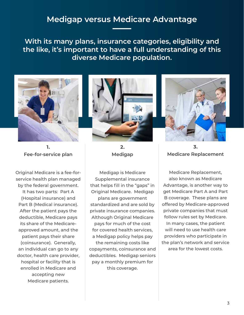## **Medigap versus Medicare Advantage**

**With its many plans, insurance categories, eligibility and the like, it's important to have a full understanding of this diverse Medicare population.** 



**1. Fee-for-service plan**

Original Medicare is a fee-forservice health plan managed by the federal government. It has two parts: Part A (Hospital insurance) and Part B (Medical insurance). After the patient pays the deductible, Medicare pays its share of the Medicareapproved amount, and the patient pays their share (coinsurance). Generally, an individual can go to any doctor, health care provider, hospital or facility that is enrolled in Medicare and accepting new Medicare patients.



**2. Medigap**

Medigap is Medicare Supplemental insurance that helps fill in the "gaps" in Original Medicare. Medigap plans are government standardized and are sold by private insurance companies. Although Original Medicare pays for much of the cost for covered health services, a Medigap policy helps pay the remaining costs like copayments, coinsurance and deductibles. Medigap seniors pay a monthly premium for

this coverage.



**3. Medicare Replacement**

Medicare Replacement, also known as Medicare Advantage, is another way to get Medicare Part A and Part B coverage. These plans are offered by Medicare-approved private companies that must follow rules set by Medicare. In many cases, the patient will need to use health care providers who participate in the plan's network and service area for the lowest costs.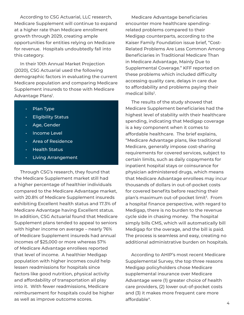According to CSG Actuarial, LLC research, Medicare Supplement will continue to expand at a higher rate than Medicare enrollment growth through 2029, creating ample opportunities for entities relying on Medicare for revenue. Hospitals undoubtedly fall into this category.

 In their 10th Annual Market Projection (2020), CSG Actuarial used the following demographic factors in evaluating the current Medicare population and comparing Medicare Supplement insureds to those with Medicare Advantage Plans<sup>1</sup>.

- Plan Type
- **Eligibility Status**
- Age, Gender
- Income Level
- Area of Residence
- Health Status
- Living Arrangement

 Through CSG's research, they found that the Medicare Supplement market still had a higher percentage of healthier individuals compared to the Medicare Advantage market, with 20.8% of Medicare Supplement insureds exhibiting Excellent health status and 17.3% of Medicare Advantage having Excellent status. In addition, CSG Actuarial found that Medicare Supplement plans tended to appeal to seniors with higher income on average – nearly 76% of Medicare Supplement insureds had annual incomes of \$25,000 or more whereas 57% of Medicare Advantage enrollees reported that level of income. A healthier Medigap population with higher incomes could help lessen readmissions for hospitals since factors like good nutrition, physical activity and affordability of transportation all play into it. With fewer readmissions, Medicare reimbursement for hospitals could be higher as well as improve outcome scores.

 Medicare Advantage beneficiaries encounter more healthcare spendingrelated problems compared to their Medigap counterparts, according to the Kaiser Family Foundation issue brief, "Cost-Related Problems Are Less Common Among Beneficiaries in Traditional Medicare Than in Medicare Advantage, Mainly Due to Supplemental Coverage." KFF reported on these problems which included difficulty accessing quality care, delays in care due to affordability and problems paying their medical bills<sup>2</sup>.

 The results of the study showed that Medicare Supplement beneficiaries had the highest level of stability with their healthcare spending, indicating that Medigap coverage is a key component when it comes to affordable healthcare. The brief explains, "Medicare Advantage plans, like traditional Medicare, generally impose cost-sharing requirements for covered services, subject to certain limits, such as daily copayments for inpatient hospital stays or coinsurance for physician administered drugs, which means that Medicare Advantage enrollees may incur thousands of dollars in out-of-pocket costs for covered benefits before reaching their plan's maximum out-of-pocket limit<sup>3</sup>. From a hospital finance perspective, with regard to Medigap, there is no burden to the revenue cycle side in chasing money. The hospital simply bills CMS, which will automatically bill Medigap for the overage, and the bill is paid. The process is seamless and easy, creating no additional administrative burden on hospitals.

 According to AHIP's most recent Medicare Supplemental Survey, the top three reasons Medigap policyholders chose Medicare supplemental insurance over Medicare Advantage were (1) greater choice of health care providers, (2) lower out-of-pocket costs and (3) it makes more frequent care more affordable4.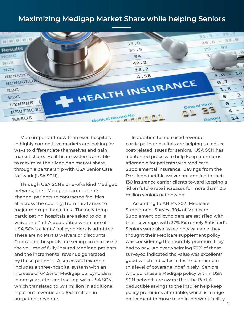#### **Maximizing Medigap Market Share while helping Seniors**



 More important now than ever, hospitals in highly competitive markets are looking for ways to differentiate themselves and gain market share. Healthcare systems are able to maximize their Medigap market share through a partnership with USA Senior Care Network (USA SCN).

 Through USA SCN's one-of-a kind Medigap network, their Medigap carrier clients channel patients to contracted facilities all across the country, from rural areas to major metropolitan cities. The only thing participating hospitals are asked to do is waive the Part A deductible when one of USA SCN's clients' policyholders is admitted. There are no Part B waivers or discounts. Contracted hospitals are seeing an increase in the volume of fully-insured Medigap patients and the incremental revenue generated by those patients. A successful example includes a three-hospital system with an increase of 64.5% of Medigap policyholders in one year after contracting with USA SCN, which translated to \$7.1 million in additional inpatient revenue and \$5.2 million in outpatient revenue.

 In addition to increased revenue, participating hospitals are helping to reduce cost-related issues for seniors. USA SCN has a patented process to help keep premiums affordable for patients with Medicare Supplemental Insurance. Savings from the Part A deductible waiver are applied to their 130 insurance carrier clients toward keeping a lid on future rate increases for more than 10.5 million seniors nationwide.

 According to AHIP's 2021 Medicare Supplement Survey, 90% of Medicare Supplement policyholders are satisfied with their coverage, with 37% Extremely Satisfied<sup>4</sup>. Seniors were also asked how valuable they thought their Medicare supplement policy was considering the monthly premium they had to pay. An overwhelming 79% of those surveyed indicated the value was excellent/ good which indicates a desire to maintain this level of coverage indefinitely. Seniors who purchase a Medigap policy within USA SCN network are aware that the Part A deductible savings to the insurer help keep policy premiums affordable, which is a huge enticement to move to an in-network facility.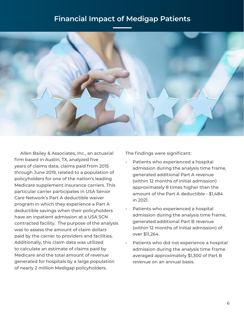### **Financial Impact of Medigap Patients**



 Allen Bailey & Associates, Inc., an actuarial firm based in Austin, TX, analyzed five years of claims data, claims paid from 2015 through June 2019, related to a population of policyholders for one of the nation's leading Medicare supplement insurance carriers. This particular carrier participates in USA Senior Care Network's Part A deductible waiver program in which they experience a Part A deductible savings when their policyholders have an inpatient admission at a USA SCN contracted facility. The purpose of the analysis was to assess the amount of claim dollars paid by the carrier to providers and facilities. Additionally, this claim data was utilized to calculate an estimate of claims paid by Medicare and the total amount of revenue generated for hospitals by a large population of nearly 2 million Medigap policyholders.

The findings were significant:

- Patients who experienced a hospital admission during the analysis time frame, generated additional Part A revenue (within 12 months of initial admission) approximately 8 times higher than the amount of the Part A deductible - \$1,484 in 2021.
- Patients who experienced a hospital admission during the analysis time frame, generated additional Part B revenue (within 12 months of initial admission) of over \$11,264.
- Patients who did not experience a hospital admission during the analysis time frame averaged approximately \$1,300 of Part B revenue on an annual basis.